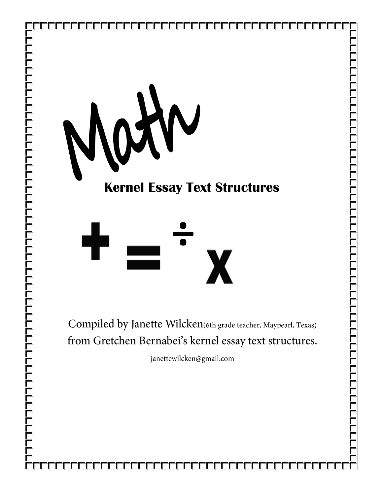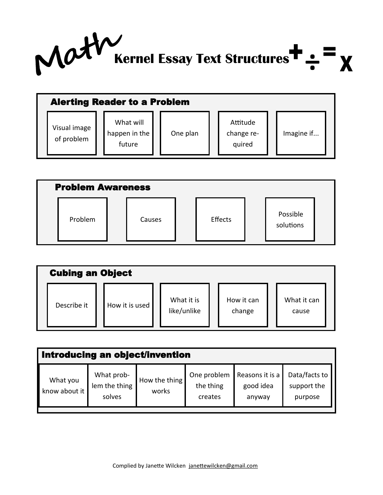

| <b>Alerting Reader to a Problem</b> |                                      |          |  |                                  |  |            |  |  |  |  |
|-------------------------------------|--------------------------------------|----------|--|----------------------------------|--|------------|--|--|--|--|
| Visual image<br>of problem          | What will<br>happen in the<br>future | One plan |  | Attitude<br>change re-<br>quired |  | Imagine if |  |  |  |  |

| <b>Problem Awareness</b> |        |  |         |  |                       |  |  |  |  |  |
|--------------------------|--------|--|---------|--|-----------------------|--|--|--|--|--|
| Problem                  | Causes |  | Effects |  | Possible<br>solutions |  |  |  |  |  |

| <b>Cubing an Object</b> |  |                |  |                           |  |                      |  |                      |  |  |
|-------------------------|--|----------------|--|---------------------------|--|----------------------|--|----------------------|--|--|
| Describe it             |  | How it is used |  | What it is<br>like/unlike |  | How it can<br>change |  | What it can<br>cause |  |  |

| Introducing an object/invention |                                       |                        |                                     |                                        |                                         |  |  |  |  |  |  |
|---------------------------------|---------------------------------------|------------------------|-------------------------------------|----------------------------------------|-----------------------------------------|--|--|--|--|--|--|
| What you<br>know about it       | What prob-<br>lem the thing<br>solves | How the thing<br>works | One problem<br>the thing<br>creates | Reasons it is a<br>good idea<br>anyway | Data/facts to<br>support the<br>purpose |  |  |  |  |  |  |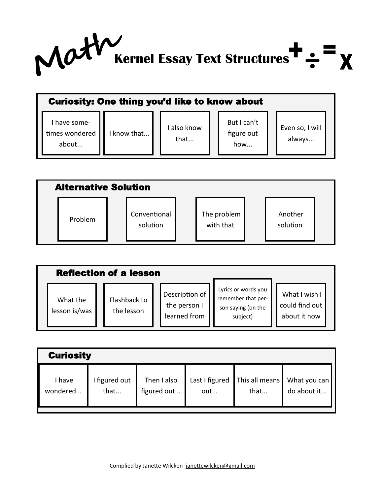

|                                         | <b>Curiosity: One thing you'd like to know about</b> |                   |                                  |                           |  |  |  |  |  |  |  |
|-----------------------------------------|------------------------------------------------------|-------------------|----------------------------------|---------------------------|--|--|--|--|--|--|--|
| I have some-<br>times wondered<br>about | I know that                                          | also know<br>that | But I can't<br>figure out<br>how | Even so, I will<br>always |  |  |  |  |  |  |  |

| <b>Alternative Solution</b> |                          |                          |                     |
|-----------------------------|--------------------------|--------------------------|---------------------|
| Problem                     | Conventional<br>solution | The problem<br>with that | Another<br>solution |

|                           | <b>Reflection of a lesson</b> |                                                |                                                                             |                                                 |
|---------------------------|-------------------------------|------------------------------------------------|-----------------------------------------------------------------------------|-------------------------------------------------|
| What the<br>lesson is/was | Flashback to<br>the lesson    | Description of<br>the person I<br>learned from | Lyrics or words you<br>remember that per-<br>son saying (on the<br>subject) | What I wish I<br>could find out<br>about it now |

| <b>Curiosity</b> |             |             |                |                |              |  |  |  |  |  |  |
|------------------|-------------|-------------|----------------|----------------|--------------|--|--|--|--|--|--|
| I have           | figured out | Then I also | Last I figured | This all means | What you can |  |  |  |  |  |  |
| wondered         | that        | figured out | out            | that           | do about it  |  |  |  |  |  |  |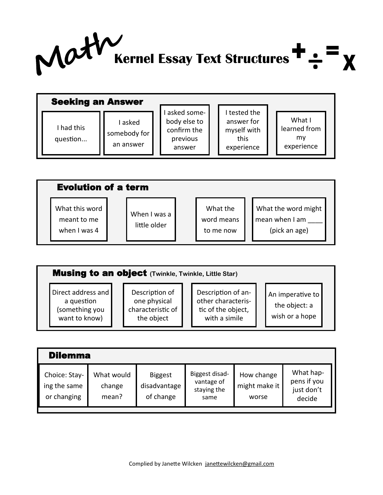

| <b>Seeking an Answer</b> |                                      |                                                                  |                                                               |                                            |
|--------------------------|--------------------------------------|------------------------------------------------------------------|---------------------------------------------------------------|--------------------------------------------|
| I had this<br>question   | I asked<br>somebody for<br>an answer | asked some-<br>body else to<br>confirm the<br>previous<br>answer | tested the<br>answer for<br>myself with<br>this<br>experience | What I<br>learned from<br>mv<br>experience |

|                                               | <b>Evolution of a term</b>   |                                     |                                                        |  |  |  |  |  |  |  |  |  |
|-----------------------------------------------|------------------------------|-------------------------------------|--------------------------------------------------------|--|--|--|--|--|--|--|--|--|
| What this word<br>meant to me<br>when I was 4 | When I was a<br>little older | What the<br>word means<br>to me now | What the word might<br>mean when I am<br>(pick an age) |  |  |  |  |  |  |  |  |  |

| <b>Musing to an object</b> (Twinkle, Twinkle, Little Star)          |                                                                   |                                                                                 |                                                     |  |  |  |  |  |  |
|---------------------------------------------------------------------|-------------------------------------------------------------------|---------------------------------------------------------------------------------|-----------------------------------------------------|--|--|--|--|--|--|
| Direct address and<br>a question<br>(something you<br>want to know) | Description of<br>one physical<br>characteristic of<br>the object | Description of an-<br>other characteris-<br>tic of the object,<br>with a simile | An imperative to<br>the object: a<br>wish or a hope |  |  |  |  |  |  |

| <b>Dilemma</b>                               |                               |                                             |                                                     |                                      |                                                  |  |  |  |  |  |  |
|----------------------------------------------|-------------------------------|---------------------------------------------|-----------------------------------------------------|--------------------------------------|--------------------------------------------------|--|--|--|--|--|--|
| Choice: Stay-<br>ing the same<br>or changing | What would<br>change<br>mean? | <b>Biggest</b><br>disadvantage<br>of change | Biggest disad-<br>vantage of<br>staying the<br>same | How change<br>might make it<br>worse | What hap-<br>pens if you<br>just don't<br>decide |  |  |  |  |  |  |